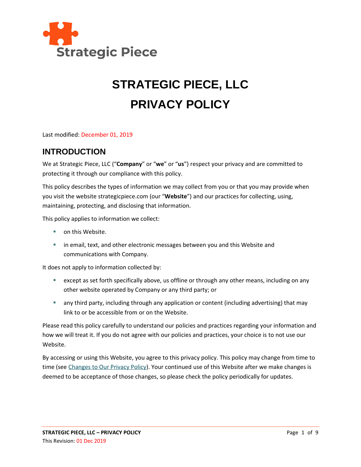

# **STRATEGIC PIECE, LLC PRIVACY POLICY**

Last modified: December 01, 2019

#### **INTRODUCTION**

We at Strategic Piece, LLC ("**Company**" or "**we**" or "**us**") respect your privacy and are committed to protecting it through our compliance with this policy.

This policy describes the types of information we may collect from you or that you may provide when you visit the website strategicpiece.com (our "**Website**") and our practices for collecting, using, maintaining, protecting, and disclosing that information.

This policy applies to information we collect:

- on this Website.
- **■** in email, text, and other electronic messages between you and this Website and communications with Company.

It does not apply to information collected by:

- except as set forth specifically above, us offline or through any other means, including on any other website operated by Company or any third party; or
- any third party, including through any application or content (including advertising) that may link to or be accessible from or on the Website.

Please read this policy carefully to understand our policies and practices regarding your information and how we will treat it. If you do not agree with our policies and practices, your choice is to not use our Website.

By accessing or using this Website, you agree to this privacy policy. This policy may change from time to time (see [Changes to Our Privacy Policy\)](#page-7-0). Your continued use of this Website after we make changes is deemed to be acceptance of those changes, so please check the policy periodically for updates.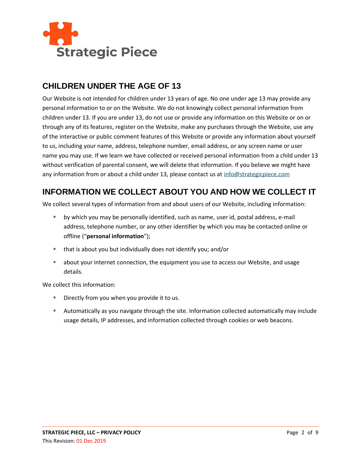

#### **CHILDREN UNDER THE AGE OF 13**

Our Website is not intended for children under 13 years of age. No one under age 13 may provide any personal information to or on the Website. We do not knowingly collect personal information from children under 13. If you are under 13, do not use or provide any information on this Website or on or through any of its features, register on the Website, make any purchases through the Website, use any of the interactive or public comment features of this Website or provide any information about yourself to us, including your name, address, telephone number, email address, or any screen name or user name you may use. If we learn we have collected or received personal information from a child under 13 without verification of parental consent, we will delete that information. If you believe we might have any information from or about a child under 13, please contact us a[t info@strategicpiece.com](mailto:info@strategicpiece.com)

## **INFORMATION WE COLLECT ABOUT YOU AND HOW WE COLLECT IT**

We collect several types of information from and about users of our Website, including information:

- by which you may be personally identified, such as name, user id, postal address, e-mail address, telephone number, or any other identifier by which you may be contacted online or offline ("**personal information**");
- that is about you but individually does not identify you; and/or
- about your internet connection, the equipment you use to access our Website, and usage details.

We collect this information:

- **E** Directly from you when you provide it to us.
- **EXECT Automatically as you navigate through the site. Information collected automatically may include** usage details, IP addresses, and information collected through cookies or web beacons.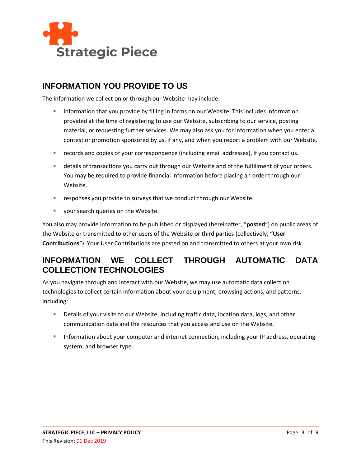

#### **INFORMATION YOU PROVIDE TO US**

The information we collect on or through our Website may include:

- information that you provide by filling in forms on our Website. This includes information provided at the time of registering to use our Website, subscribing to our service, posting material, or requesting further services. We may also ask you for information when you enter a contest or promotion sponsored by us, if any, and when you report a problem with our Website.
- records and copies of your correspondence (including email addresses), if you contact us.
- **E** details of transactions you carry out through our Website and of the fulfillment of your orders. You may be required to provide financial information before placing an order through our Website.
- responses you provide to surveys that we conduct through our Website.
- your search queries on the Website.

You also may provide information to be published or displayed (hereinafter, "**posted**") on public areas of the Website or transmitted to other users of the Website or third parties (collectively, "**User Contributions**"). Your User Contributions are posted on and transmitted to others at your own risk.

#### **INFORMATION WE COLLECT THROUGH AUTOMATIC DATA COLLECTION TECHNOLOGIES**

As you navigate through and interact with our Website, we may use automatic data collection technologies to collect certain information about your equipment, browsing actions, and patterns, including:

- Details of your visits to our Website, including traffic data, location data, logs, and other communication data and the resources that you access and use on the Website.
- **EXEDENT INTO THE INTERT INTERT ADDET** Information, including your IP address, operating system, and browser type.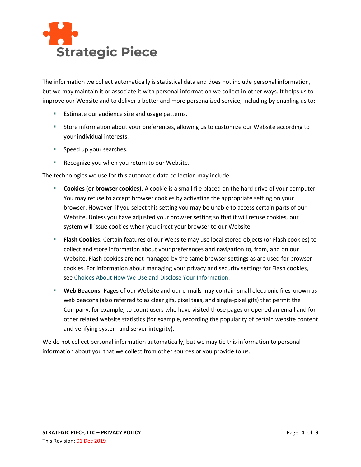

The information we collect automatically is statistical data and does not include personal information, but we may maintain it or associate it with personal information we collect in other ways. It helps us to improve our Website and to deliver a better and more personalized service, including by enabling us to:

- Estimate our audience size and usage patterns.
- Store information about your preferences, allowing us to customize our Website according to your individual interests.
- Speed up your searches.
- Recognize you when you return to our Website.

The technologies we use for this automatic data collection may include:

- **Cookies (or browser cookies).** A cookie is a small file placed on the hard drive of your computer. You may refuse to accept browser cookies by activating the appropriate setting on your browser. However, if you select this setting you may be unable to access certain parts of our Website. Unless you have adjusted your browser setting so that it will refuse cookies, our system will issue cookies when you direct your browser to our Website.
- **EXECT Flash Cookies.** Certain features of our Website may use local stored objects (or Flash cookies) to collect and store information about your preferences and navigation to, from, and on our Website. Flash cookies are not managed by the same browser settings as are used for browser cookies. For information about managing your privacy and security settings for Flash cookies, see [Choices About How We Use and Disclose Your Information.](#page-5-0)
- **Web Beacons.** Pages of our Website and our e-mails may contain small electronic files known as web beacons (also referred to as clear gifs, pixel tags, and single-pixel gifs) that permit the Company, for example, to count users who have visited those pages or opened an email and for other related website statistics (for example, recording the popularity of certain website content and verifying system and server integrity).

We do not collect personal information automatically, but we may tie this information to personal information about you that we collect from other sources or you provide to us.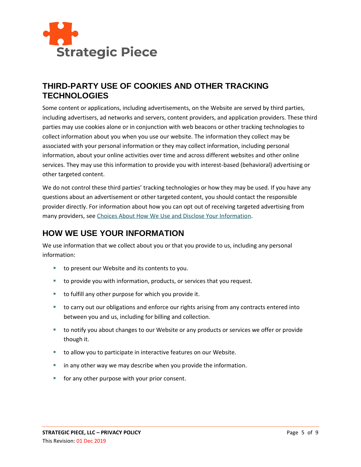

#### **THIRD-PARTY USE OF COOKIES AND OTHER TRACKING TECHNOLOGIES**

Some content or applications, including advertisements, on the Website are served by third parties, including advertisers, ad networks and servers, content providers, and application providers. These third parties may use cookies alone or in conjunction with web beacons or other tracking technologies to collect information about you when you use our website. The information they collect may be associated with your personal information or they may collect information, including personal information, about your online activities over time and across different websites and other online services. They may use this information to provide you with interest-based (behavioral) advertising or other targeted content.

We do not control these third parties' tracking technologies or how they may be used. If you have any questions about an advertisement or other targeted content, you should contact the responsible provider directly. For information about how you can opt out of receiving targeted advertising from many providers, see [Choices About How We Use and Disclose Your Information.](#page-5-0)

## **HOW WE USE YOUR INFORMATION**

We use information that we collect about you or that you provide to us, including any personal information:

- to present our Website and its contents to you.
- to provide you with information, products, or services that you request.
- to fulfill any other purpose for which you provide it.
- to carry out our obligations and enforce our rights arising from any contracts entered into between you and us, including for billing and collection.
- to notify you about changes to our Website or any products or services we offer or provide though it.
- to allow you to participate in interactive features on our Website.
- in any other way we may describe when you provide the information.
- for any other purpose with your prior consent.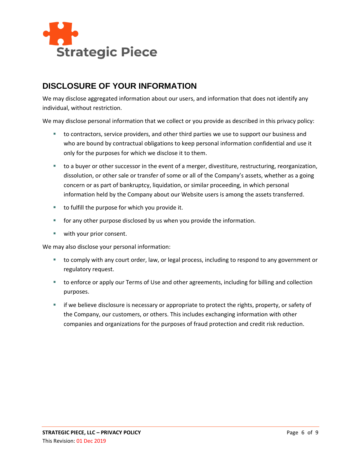

### **DISCLOSURE OF YOUR INFORMATION**

We may disclose aggregated information about our users, and information that does not identify any individual, without restriction.

We may disclose personal information that we collect or you provide as described in this privacy policy:

- to contractors, service providers, and other third parties we use to support our business and who are bound by contractual obligations to keep personal information confidential and use it only for the purposes for which we disclose it to them.
- to a buyer or other successor in the event of a merger, divestiture, restructuring, reorganization, dissolution, or other sale or transfer of some or all of the Company's assets, whether as a going concern or as part of bankruptcy, liquidation, or similar proceeding, in which personal information held by the Company about our Website users is among the assets transferred.
- to fulfill the purpose for which you provide it.
- for any other purpose disclosed by us when you provide the information.
- with your prior consent.

We may also disclose your personal information:

- to comply with any court order, law, or legal process, including to respond to any government or regulatory request.
- to enforce or apply our Terms of Use and other agreements, including for billing and collection purposes.
- <span id="page-5-0"></span>**■** if we believe disclosure is necessary or appropriate to protect the rights, property, or safety of the Company, our customers, or others. This includes exchanging information with other companies and organizations for the purposes of fraud protection and credit risk reduction.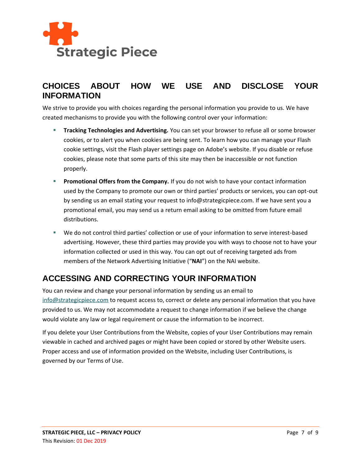

### **CHOICES ABOUT HOW WE USE AND DISCLOSE YOUR INFORMATION**

We strive to provide you with choices regarding the personal information you provide to us. We have created mechanisms to provide you with the following control over your information:

- **Tracking Technologies and Advertising.** You can set your browser to refuse all or some browser cookies, or to alert you when cookies are being sent. To learn how you can manage your Flash cookie settings, visit the Flash player settings page on Adobe's website. If you disable or refuse cookies, please note that some parts of this site may then be inaccessible or not function properly.
- **Promotional Offers from the Company.** If you do not wish to have your contact information used by the Company to promote our own or third parties' products or services, you can opt-out by sending us an email stating your request to info@strategicpiece.com. If we have sent you a promotional email, you may send us a return email asking to be omitted from future email distributions.
- We do not control third parties' collection or use of your information to serve interest-based advertising. However, these third parties may provide you with ways to choose not to have your information collected or used in this way. You can opt out of receiving targeted ads from members of the Network Advertising Initiative ("**NAI**") on the NAI website.

## **ACCESSING AND CORRECTING YOUR INFORMATION**

You can review and change your personal information by sending us an email to [info@strategicpiece.com](mailto:info@strategicpiece.com) to request access to, correct or delete any personal information that you have provided to us. We may not accommodate a request to change information if we believe the change would violate any law or legal requirement or cause the information to be incorrect.

If you delete your User Contributions from the Website, copies of your User Contributions may remain viewable in cached and archived pages or might have been copied or stored by other Website users. Proper access and use of information provided on the Website, including User Contributions, is governed by our Terms of Use.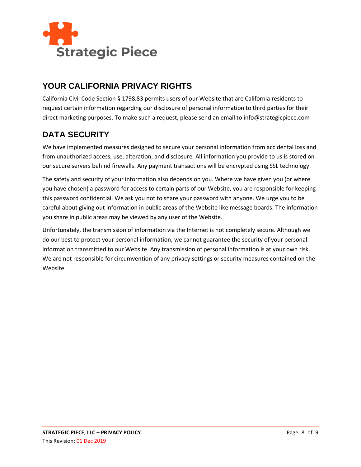

## **YOUR CALIFORNIA PRIVACY RIGHTS**

California Civil Code Section § 1798.83 permits users of our Website that are California residents to request certain information regarding our disclosure of personal information to third parties for their direct marketing purposes. To make such a request, please send an email to info@strategicpiece.com

## **DATA SECURITY**

We have implemented measures designed to secure your personal information from accidental loss and from unauthorized access, use, alteration, and disclosure. All information you provide to us is stored on our secure servers behind firewalls. Any payment transactions will be encrypted using SSL technology.

The safety and security of your information also depends on you. Where we have given you (or where you have chosen) a password for access to certain parts of our Website, you are responsible for keeping this password confidential. We ask you not to share your password with anyone. We urge you to be careful about giving out information in public areas of the Website like message boards. The information you share in public areas may be viewed by any user of the Website.

<span id="page-7-0"></span>Unfortunately, the transmission of information via the Internet is not completely secure. Although we do our best to protect your personal information, we cannot guarantee the security of your personal information transmitted to our Website. Any transmission of personal information is at your own risk. We are not responsible for circumvention of any privacy settings or security measures contained on the Website.